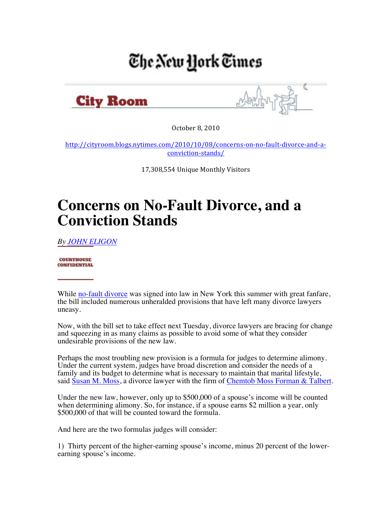## The New York Times



October 8, 2010

http://cityroom.blogs.nytimes.com/2010/10/08/concerns-on-no-fault-divorce-and-aconviction:stands/

17,308,554 Unique Monthly Visitors

## **Concerns on No-Fault Divorce, and a Conviction Stands**

*By JOHN ELIGON*

**COURTHOUSE CONFIDENTIAL** 

While no-fault divorce was signed into law in New York this summer with great fanfare, the bill included numerous unheralded provisions that have left many divorce lawyers uneasy.

Now, with the bill set to take effect next Tuesday, divorce lawyers are bracing for change and squeezing in as many claims as possible to avoid some of what they consider undesirable provisions of the new law.

Perhaps the most troubling new provision is a formula for judges to determine alimony. Under the current system, judges have broad discretion and consider the needs of a family and its budget to determine what is necessary to maintain that marital lifestyle, said Susan M. Moss, a divorce lawyer with the firm of Chemtob Moss Forman & Talbert.

Under the new law, however, only up to \$500,000 of a spouse's income will be counted when determining alimony. So, for instance, if a spouse earns \$2 million a year, only \$500,000 of that will be counted toward the formula.

And here are the two formulas judges will consider:

1) Thirty percent of the higher-earning spouse's income, minus 20 percent of the lowerearning spouse's income.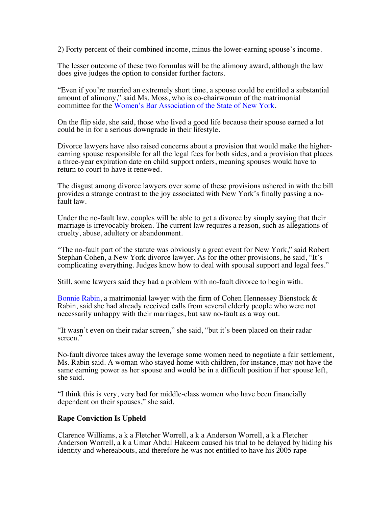2) Forty percent of their combined income, minus the lower-earning spouse's income.

The lesser outcome of these two formulas will be the alimony award, although the law does give judges the option to consider further factors.

"Even if you're married an extremely short time, a spouse could be entitled a substantial amount of alimony," said Ms. Moss, who is co-chairwoman of the matrimonial committee for the Women's Bar Association of the State of New York.

On the flip side, she said, those who lived a good life because their spouse earned a lot could be in for a serious downgrade in their lifestyle.

Divorce lawyers have also raised concerns about a provision that would make the higherearning spouse responsible for all the legal fees for both sides, and a provision that places a three-year expiration date on child support orders, meaning spouses would have to return to court to have it renewed.

The disgust among divorce lawyers over some of these provisions ushered in with the bill provides a strange contrast to the joy associated with New York's finally passing a no- fault law.

Under the no-fault law, couples will be able to get a divorce by simply saying that their marriage is irrevocably broken. The current law requires a reason, such as allegations of cruelty, abuse, adultery or abandonment.

"The no-fault part of the statute was obviously a great event for New York," said Robert Stephan Cohen, a New York divorce lawyer. As for the other provisions, he said, "It's complicating everything. Judges know how to deal with spousal support and legal fees."

Still, some lawyers said they had a problem with no-fault divorce to begin with.

Bonnie Rabin, a matrimonial lawyer with the firm of Cohen Hennessey Bienstock & Rabin, said she had already received calls from several elderly people who were not necessarily unhappy with their marriages, but saw no-fault as a way out.

"It wasn't even on their radar screen," she said, "but it's been placed on their radar screen."

No-fault divorce takes away the leverage some women need to negotiate a fair settlement, Ms. Rabin said. A woman who stayed home with children, for instance, may not have the same earning power as her spouse and would be in a difficult position if her spouse left, she said.

"I think this is very, very bad for middle-class women who have been financially dependent on their spouses," she said.

## **Rape Conviction Is Upheld**

Clarence Williams, a k a Fletcher Worrell, a k a Anderson Worrell, a k a Fletcher Anderson Worrell, a k a Umar Abdul Hakeem caused his trial to be delayed by hiding his identity and whereabouts, and therefore he was not entitled to have his 2005 rape